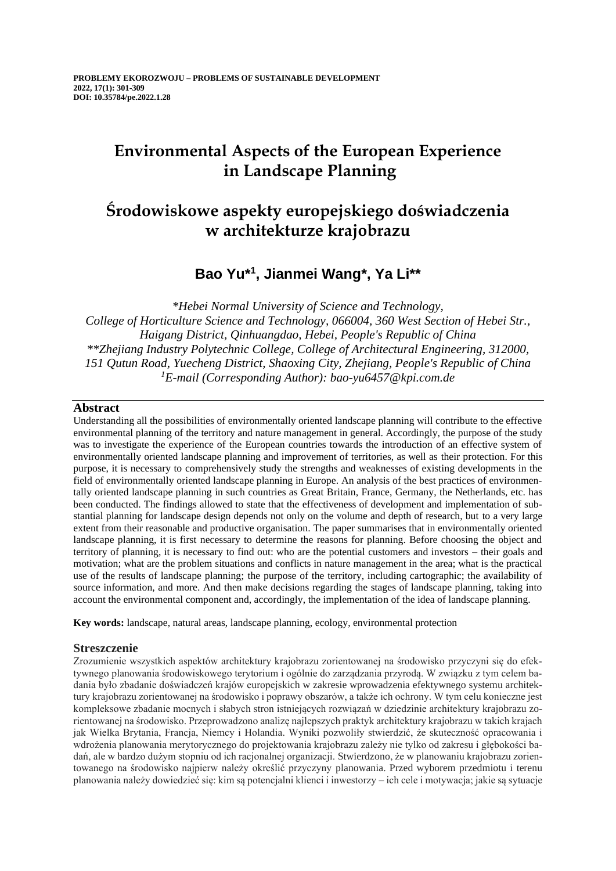# **Environmental Aspects of the European Experience in Landscape Planning**

# **Środowiskowe aspekty europejskiego doświadczenia w architekturze krajobrazu**

## **Bao Yu\* 1 , Jianmei Wang\*, Ya Li\*\***

*\*Hebei Normal University of Science and Technology, College of Horticulture Science and Technology, 066004, 360 West Section of Hebei Str., Haigang District, Qinhuangdao, Hebei, People's Republic of China \*\*Zhejiang Industry Polytechnic College, College of Architectural Engineering, 312000, 151 Qutun Road, Yuecheng District, Shaoxing City, Zhejiang, People's Republic of China <sup>1</sup>E-mail (Corresponding Author): bao-yu6457@kpi.com.de*

### **Abstract**

Understanding all the possibilities of environmentally oriented landscape planning will contribute to the effective environmental planning of the territory and nature management in general. Accordingly, the purpose of the study was to investigate the experience of the European countries towards the introduction of an effective system of environmentally oriented landscape planning and improvement of territories, as well as their protection. For this purpose, it is necessary to comprehensively study the strengths and weaknesses of existing developments in the field of environmentally oriented landscape planning in Europe. An analysis of the best practices of environmentally oriented landscape planning in such countries as Great Britain, France, Germany, the Netherlands, etc. has been conducted. The findings allowed to state that the effectiveness of development and implementation of substantial planning for landscape design depends not only on the volume and depth of research, but to a very large extent from their reasonable and productive organisation. The paper summarises that in environmentally oriented landscape planning, it is first necessary to determine the reasons for planning. Before choosing the object and territory of planning, it is necessary to find out: who are the potential customers and investors – their goals and motivation; what are the problem situations and conflicts in nature management in the area; what is the practical use of the results of landscape planning; the purpose of the territory, including cartographic; the availability of source information, and more. And then make decisions regarding the stages of landscape planning, taking into account the environmental component and, accordingly, the implementation of the idea of landscape planning.

**Key words:** landscape, natural areas, landscape planning, ecology, environmental protection

### **Streszczenie**

Zrozumienie wszystkich aspektów architektury krajobrazu zorientowanej na środowisko przyczyni się do efektywnego planowania środowiskowego terytorium i ogólnie do zarządzania przyrodą. W związku z tym celem badania było zbadanie doświadczeń krajów europejskich w zakresie wprowadzenia efektywnego systemu architektury krajobrazu zorientowanej na środowisko i poprawy obszarów, a także ich ochrony. W tym celu konieczne jest kompleksowe zbadanie mocnych i słabych stron istniejących rozwiązań w dziedzinie architektury krajobrazu zorientowanej na środowisko. Przeprowadzono analizę najlepszych praktyk architektury krajobrazu w takich krajach jak Wielka Brytania, Francja, Niemcy i Holandia. Wyniki pozwoliły stwierdzić, że skuteczność opracowania i wdrożenia planowania merytorycznego do projektowania krajobrazu zależy nie tylko od zakresu i głębokości badań, ale w bardzo dużym stopniu od ich racjonalnej organizacji. Stwierdzono, że w planowaniu krajobrazu zorientowanego na środowisko najpierw należy określić przyczyny planowania. Przed wyborem przedmiotu i terenu planowania należy dowiedzieć się: kim są potencjalni klienci i inwestorzy – ich cele i motywacja; jakie są sytuacje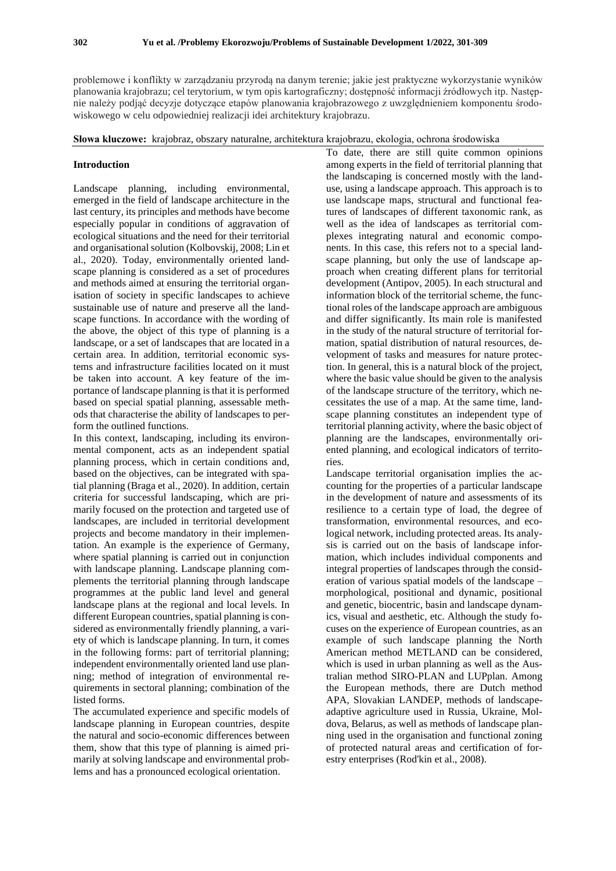problemowe i konflikty w zarządzaniu przyrodą na danym terenie; jakie jest praktyczne wykorzystanie wyników planowania krajobrazu; cel terytorium, w tym opis kartograficzny; dostępność informacji źródłowych itp. Następnie należy podjąć decyzje dotyczące etapów planowania krajobrazowego z uwzględnieniem komponentu środowiskowego w celu odpowiedniej realizacji idei architektury krajobrazu.

#### **Słowa kluczowe:** krajobraz, obszary naturalne, architektura krajobrazu, ekologia, ochrona środowiska

#### **Introduction**

Landscape planning, including environmental, emerged in the field of landscape architecture in the last century, its principles and methods have become especially popular in conditions of aggravation of ecological situations and the need for their territorial and organisational solution (Kolbovskij, 2008; Lin et al., 2020). Today, environmentally oriented landscape planning is considered as a set of procedures and methods aimed at ensuring the territorial organisation of society in specific landscapes to achieve sustainable use of nature and preserve all the landscape functions. In accordance with the wording of the above, the object of this type of planning is a landscape, or a set of landscapes that are located in a certain area. In addition, territorial economic systems and infrastructure facilities located on it must be taken into account. A key feature of the importance of landscape planning is that it is performed based on special spatial planning, assessable methods that characterise the ability of landscapes to perform the outlined functions.

In this context, landscaping, including its environmental component, acts as an independent spatial planning process, which in certain conditions and, based on the objectives, can be integrated with spatial planning (Braga et al., 2020). In addition, certain criteria for successful landscaping, which are primarily focused on the protection and targeted use of landscapes, are included in territorial development projects and become mandatory in their implementation. An example is the experience of Germany, where spatial planning is carried out in conjunction with landscape planning. Landscape planning complements the territorial planning through landscape programmes at the public land level and general landscape plans at the regional and local levels. In different European countries, spatial planning is considered as environmentally friendly planning, a variety of which is landscape planning. In turn, it comes in the following forms: part of territorial planning; independent environmentally oriented land use planning; method of integration of environmental requirements in sectoral planning; combination of the listed forms.

The accumulated experience and specific models of landscape planning in European countries, despite the natural and socio-economic differences between them, show that this type of planning is aimed primarily at solving landscape and environmental problems and has a pronounced ecological orientation.

To date, there are still quite common opinions among experts in the field of territorial planning that the landscaping is concerned mostly with the landuse, using a landscape approach. This approach is to use landscape maps, structural and functional features of landscapes of different taxonomic rank, as well as the idea of landscapes as territorial complexes integrating natural and economic components. In this case, this refers not to a special landscape planning, but only the use of landscape approach when creating different plans for territorial development (Antipov, 2005). In each structural and information block of the territorial scheme, the functional roles of the landscape approach are ambiguous and differ significantly. Its main role is manifested in the study of the natural structure of territorial formation, spatial distribution of natural resources, development of tasks and measures for nature protection. In general, this is a natural block of the project, where the basic value should be given to the analysis of the landscape structure of the territory, which necessitates the use of a map. At the same time, landscape planning constitutes an independent type of territorial planning activity, where the basic object of planning are the landscapes, environmentally oriented planning, and ecological indicators of territories.

Landscape territorial organisation implies the accounting for the properties of a particular landscape in the development of nature and assessments of its resilience to a certain type of load, the degree of transformation, environmental resources, and ecological network, including protected areas. Its analysis is carried out on the basis of landscape information, which includes individual components and integral properties of landscapes through the consideration of various spatial models of the landscape – morphological, positional and dynamic, positional and genetic, biocentric, basin and landscape dynamics, visual and aesthetic, etc. Although the study focuses on the experience of European countries, as an example of such landscape planning the North American method METLAND can be considered, which is used in urban planning as well as the Australian method SIRO-PLAN and LUPplan. Among the European methods, there are Dutch method APA, Slovakian LANDEP, methods of landscapeadaptive agriculture used in Russia, Ukraine, Moldova, Belarus, as well as methods of landscape planning used in the organisation and functional zoning of protected natural areas and certification of forestry enterprises (Rod'kin et al., 2008).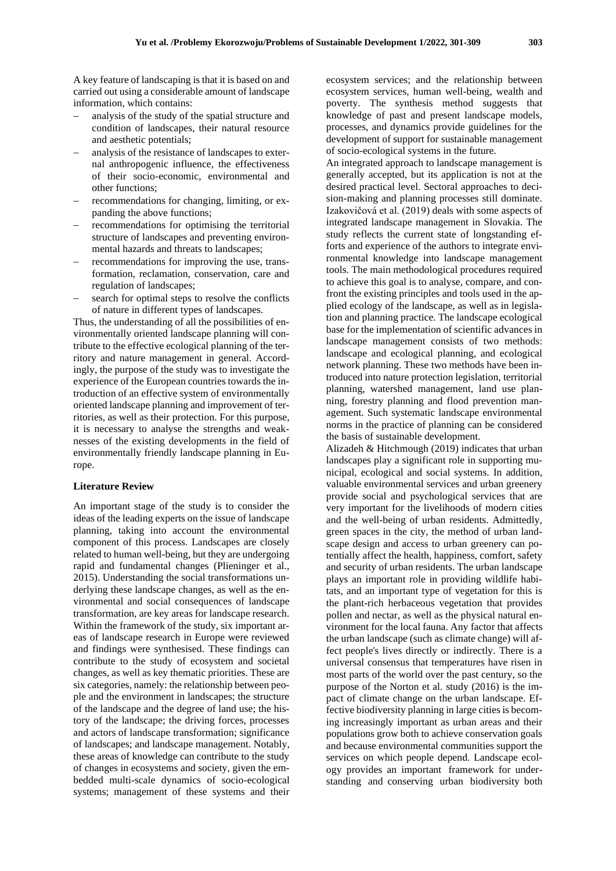carried out using a considerable amount of landscape information, which contains:

- − analysis of the study of the spatial structure and condition of landscapes, their natural resource and aesthetic potentials;
- − analysis of the resistance of landscapes to external anthropogenic influence, the effectiveness of their socio-economic, environmental and other functions;
- − recommendations for changing, limiting, or expanding the above functions;
- recommendations for optimising the territorial structure of landscapes and preventing environmental hazards and threats to landscapes;
- recommendations for improving the use, transformation, reclamation, conservation, care and regulation of landscapes;
- search for optimal steps to resolve the conflicts of nature in different types of landscapes.

Thus, the understanding of all the possibilities of environmentally oriented landscape planning will contribute to the effective ecological planning of the territory and nature management in general. Accordingly, the purpose of the study was to investigate the experience of the European countries towards the introduction of an effective system of environmentally oriented landscape planning and improvement of territories, as well as their protection. For this purpose, it is necessary to analyse the strengths and weaknesses of the existing developments in the field of environmentally friendly landscape planning in Europe.

#### **Literature Review**

An important stage of the study is to consider the ideas of the leading experts on the issue of landscape planning, taking into account the environmental component of this process. Landscapes are closely related to human well-being, but they are undergoing rapid and fundamental changes (Plieninger et al., 2015). Understanding the social transformations underlying these landscape changes, as well as the environmental and social consequences of landscape transformation, are key areas for landscape research. Within the framework of the study, six important areas of landscape research in Europe were reviewed and findings were synthesised. These findings can contribute to the study of ecosystem and societal changes, as well as key thematic priorities. These are six categories, namely: the relationship between people and the environment in landscapes; the structure of the landscape and the degree of land use; the history of the landscape; the driving forces, processes and actors of landscape transformation; significance of landscapes; and landscape management. Notably, these areas of knowledge can contribute to the study of changes in ecosystems and society, given the embedded multi-scale dynamics of socio-ecological systems; management of these systems and their

ecosystem services; and the relationship between ecosystem services, human well-being, wealth and poverty. The synthesis method suggests that knowledge of past and present landscape models, processes, and dynamics provide guidelines for the development of support for sustainable management of socio-ecological systems in the future.

An integrated approach to landscape management is generally accepted, but its application is not at the desired practical level. Sectoral approaches to decision-making and planning processes still dominate. Izakovičová et al. (2019) deals with some aspects of integrated landscape management in Slovakia. The study reflects the current state of longstanding efforts and experience of the authors to integrate environmental knowledge into landscape management tools. The main methodological procedures required to achieve this goal is to analyse, compare, and confront the existing principles and tools used in the applied ecology of the landscape, as well as in legislation and planning practice. The landscape ecological base for the implementation of scientific advances in landscape management consists of two methods: landscape and ecological planning, and ecological network planning. These two methods have been introduced into nature protection legislation, territorial planning, watershed management, land use planning, forestry planning and flood prevention management. Such systematic landscape environmental norms in the practice of planning can be considered the basis of sustainable development.

Alizadeh & Hitchmough (2019) indicates that urban landscapes play a significant role in supporting municipal, ecological and social systems. In addition, valuable environmental services and urban greenery provide social and psychological services that are very important for the livelihoods of modern cities and the well-being of urban residents. Admittedly, green spaces in the city, the method of urban landscape design and access to urban greenery can potentially affect the health, happiness, comfort, safety and security of urban residents. The urban landscape plays an important role in providing wildlife habitats, and an important type of vegetation for this is the plant-rich herbaceous vegetation that provides pollen and nectar, as well as the physical natural environment for the local fauna. Any factor that affects the urban landscape (such as climate change) will affect people's lives directly or indirectly. There is a universal consensus that temperatures have risen in most parts of the world over the past century, so the purpose of the Norton et al. study (2016) is the impact of climate change on the urban landscape. Effective biodiversity planning in large cities is becoming increasingly important as urban areas and their populations grow both to achieve conservation goals and because environmental communities support the services on which people depend. Landscape ecology provides an important framework for understanding and conserving urban biodiversity both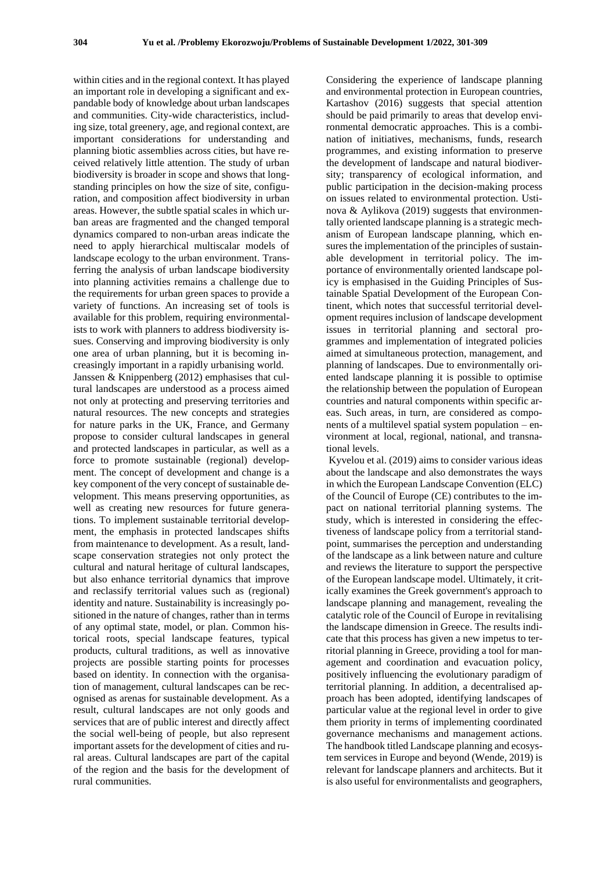within cities and in the regional context. It has played an important role in developing a significant and expandable body of knowledge about urban landscapes and communities. City-wide characteristics, including size, total greenery, age, and regional context, are important considerations for understanding and planning biotic assemblies across cities, but have received relatively little attention. The study of urban biodiversity is broader in scope and shows that longstanding principles on how the size of site, configuration, and composition affect biodiversity in urban areas. However, the subtle spatial scales in which urban areas are fragmented and the changed temporal dynamics compared to non-urban areas indicate the need to apply hierarchical multiscalar models of landscape ecology to the urban environment. Transferring the analysis of urban landscape biodiversity into planning activities remains a challenge due to the requirements for urban green spaces to provide a variety of functions. An increasing set of tools is available for this problem, requiring environmentalists to work with planners to address biodiversity issues. Conserving and improving biodiversity is only one area of urban planning, but it is becoming increasingly important in a rapidly urbanising world. Janssen & Knippenberg (2012) emphasises that cultural landscapes are understood as a process aimed not only at protecting and preserving territories and natural resources. The new concepts and strategies for nature parks in the UK, France, and Germany propose to consider cultural landscapes in general and protected landscapes in particular, as well as a force to promote sustainable (regional) development. The concept of development and change is a key component of the very concept of sustainable development. This means preserving opportunities, as well as creating new resources for future generations. To implement sustainable territorial development, the emphasis in protected landscapes shifts from maintenance to development. As a result, landscape conservation strategies not only protect the cultural and natural heritage of cultural landscapes, but also enhance territorial dynamics that improve and reclassify territorial values such as (regional) identity and nature. Sustainability is increasingly positioned in the nature of changes, rather than in terms of any optimal state, model, or plan. Common historical roots, special landscape features, typical products, cultural traditions, as well as innovative projects are possible starting points for processes based on identity. In connection with the organisation of management, cultural landscapes can be recognised as arenas for sustainable development. As a result, cultural landscapes are not only goods and services that are of public interest and directly affect the social well-being of people, but also represent important assets for the development of cities and rural areas. Cultural landscapes are part of the capital of the region and the basis for the development of rural communities.

Considering the experience of landscape planning and environmental protection in European countries, Kartashov (2016) suggests that special attention should be paid primarily to areas that develop environmental democratic approaches. This is a combination of initiatives, mechanisms, funds, research programmes, and existing information to preserve the development of landscape and natural biodiversity; transparency of ecological information, and public participation in the decision-making process on issues related to environmental protection. Ustinova & Aylikova (2019) suggests that environmentally oriented landscape planning is a strategic mechanism of European landscape planning, which ensures the implementation of the principles of sustainable development in territorial policy. The importance of environmentally oriented landscape policy is emphasised in the Guiding Principles of Sustainable Spatial Development of the European Continent, which notes that successful territorial development requires inclusion of landscape development issues in territorial planning and sectoral programmes and implementation of integrated policies aimed at simultaneous protection, management, and planning of landscapes. Due to environmentally oriented landscape planning it is possible to optimise the relationship between the population of European countries and natural components within specific areas. Such areas, in turn, are considered as components of a multilevel spatial system population – environment at local, regional, national, and transnational levels.

Kyvelou et al. (2019) aims to consider various ideas about the landscape and also demonstrates the ways in which the European Landscape Convention (ELC) of the Council of Europe (CE) contributes to the impact on national territorial planning systems. The study, which is interested in considering the effectiveness of landscape policy from a territorial standpoint, summarises the perception and understanding of the landscape as a link between nature and culture and reviews the literature to support the perspective of the European landscape model. Ultimately, it critically examines the Greek government's approach to landscape planning and management, revealing the catalytic role of the Council of Europe in revitalising the landscape dimension in Greece. The results indicate that this process has given a new impetus to territorial planning in Greece, providing a tool for management and coordination and evacuation policy, positively influencing the evolutionary paradigm of territorial planning. In addition, a decentralised approach has been adopted, identifying landscapes of particular value at the regional level in order to give them priority in terms of implementing coordinated governance mechanisms and management actions. The handbook titled Landscape planning and ecosystem services in Europe and beyond (Wende, 2019) is relevant for landscape planners and architects. But it is also useful for environmentalists and geographers,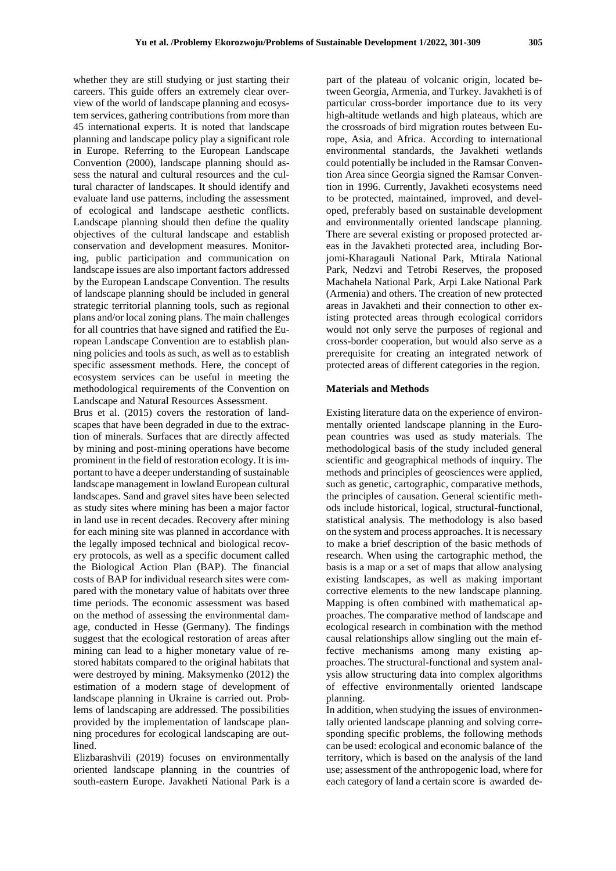whether they are still studying or just starting their careers. This guide offers an extremely clear overview of the world of landscape planning and ecosystem services, gathering contributions from more than 45 international experts. It is noted that landscape planning and landscape policy play a significant role in Europe. Referring to the European Landscape Convention (2000), landscape planning should assess the natural and cultural resources and the cultural character of landscapes. It should identify and evaluate land use patterns, including the assessment of ecological and landscape aesthetic conflicts. Landscape planning should then define the quality objectives of the cultural landscape and establish conservation and development measures. Monitoring, public participation and communication on landscape issues are also important factors addressed by the European Landscape Convention. The results of landscape planning should be included in general strategic territorial planning tools, such as regional plans and/or local zoning plans. The main challenges for all countries that have signed and ratified the European Landscape Convention are to establish planning policies and tools as such, as well as to establish specific assessment methods. Here, the concept of ecosystem services can be useful in meeting the methodological requirements of the Convention on Landscape and Natural Resources Assessment.

Brus et al. (2015) covers the restoration of landscapes that have been degraded in due to the extraction of minerals. Surfaces that are directly affected by mining and post-mining operations have become prominent in the field of restoration ecology. It is important to have a deeper understanding of sustainable landscape management in lowland European cultural landscapes. Sand and gravel sites have been selected as study sites where mining has been a major factor in land use in recent decades. Recovery after mining for each mining site was planned in accordance with the legally imposed technical and biological recovery protocols, as well as a specific document called the Biological Action Plan (BAP). The financial costs of BAP for individual research sites were compared with the monetary value of habitats over three time periods. The economic assessment was based on the method of assessing the environmental damage, conducted in Hesse (Germany). The findings suggest that the ecological restoration of areas after mining can lead to a higher monetary value of restored habitats compared to the original habitats that were destroyed by mining. Maksymenko (2012) the estimation of a modern stage of development of landscape planning in Ukraine is carried out. Problems of landscaping are addressed. The possibilities provided by the implementation of landscape planning procedures for ecological landscaping are outlined.

Elizbarashvili (2019) focuses on environmentally oriented landscape planning in the countries of south-eastern Europe. Javakheti National Park is a

part of the plateau of volcanic origin, located between Georgia, Armenia, and Turkey. Javakheti is of particular cross-border importance due to its very high-altitude wetlands and high plateaus, which are the crossroads of bird migration routes between Europe, Asia, and Africa. According to international environmental standards, the Javakheti wetlands could potentially be included in the Ramsar Convention Area since Georgia signed the Ramsar Convention in 1996. Currently, Javakheti ecosystems need to be protected, maintained, improved, and developed, preferably based on sustainable development and environmentally oriented landscape planning. There are several existing or proposed protected areas in the Javakheti protected area, including Borjomi-Kharagauli National Park, Mtirala National Park, Nedzvi and Tetrobi Reserves, the proposed Machahela National Park, Arpi Lake National Park (Armenia) and others. The creation of new protected areas in Javakheti and their connection to other existing protected areas through ecological corridors would not only serve the purposes of regional and cross-border cooperation, but would also serve as a prerequisite for creating an integrated network of protected areas of different categories in the region.

#### **Materials and Methods**

Existing literature data on the experience of environmentally oriented landscape planning in the European countries was used as study materials. The methodological basis of the study included general scientific and geographical methods of inquiry. The methods and principles of geosciences were applied, such as genetic, cartographic, comparative methods, the principles of causation. General scientific methods include historical, logical, structural-functional, statistical analysis. The methodology is also based on the system and process approaches. It is necessary to make a brief description of the basic methods of research. When using the cartographic method, the basis is a map or a set of maps that allow analysing existing landscapes, as well as making important corrective elements to the new landscape planning. Mapping is often combined with mathematical approaches. The comparative method of landscape and ecological research in combination with the method causal relationships allow singling out the main effective mechanisms among many existing approaches. The structural-functional and system analysis allow structuring data into complex algorithms of effective environmentally oriented landscape planning.

In addition, when studying the issues of environmentally oriented landscape planning and solving corresponding specific problems, the following methods can be used: ecological and economic balance of the territory, which is based on the analysis of the land use; assessment of the anthropogenic load, where for each category of land a certain score is awarded de-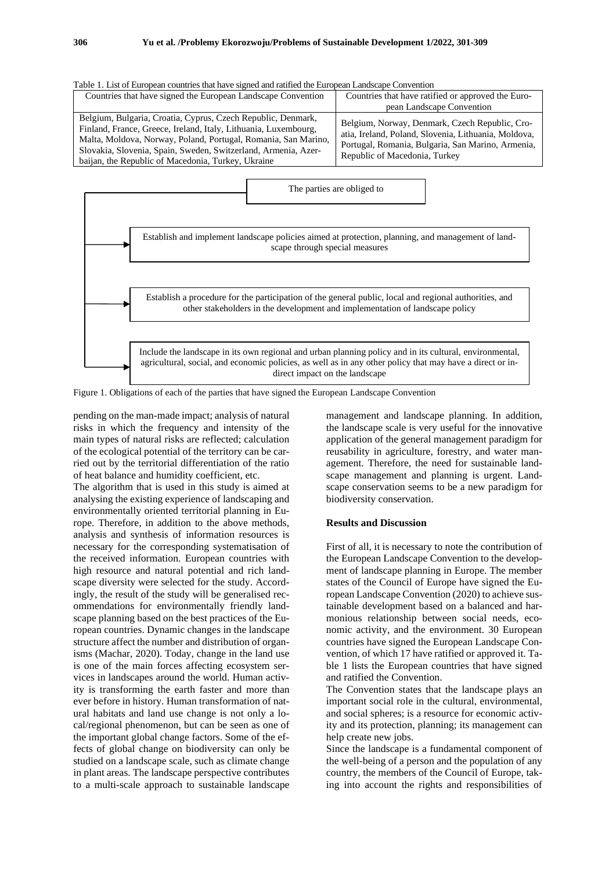| Table 1. List of European countries that have signed and ratified the European Landscape Convention                                                                                                                                                                                                                       |                                                                                                                                                                                              |
|---------------------------------------------------------------------------------------------------------------------------------------------------------------------------------------------------------------------------------------------------------------------------------------------------------------------------|----------------------------------------------------------------------------------------------------------------------------------------------------------------------------------------------|
| Countries that have signed the European Landscape Convention                                                                                                                                                                                                                                                              | Countries that have ratified or approved the Euro-                                                                                                                                           |
|                                                                                                                                                                                                                                                                                                                           | pean Landscape Convention                                                                                                                                                                    |
| Belgium, Bulgaria, Croatia, Cyprus, Czech Republic, Denmark,<br>Finland, France, Greece, Ireland, Italy, Lithuania, Luxembourg,<br>Malta, Moldova, Norway, Poland, Portugal, Romania, San Marino,<br>Slovakia, Slovenia, Spain, Sweden, Switzerland, Armenia, Azer-<br>baijan, the Republic of Macedonia, Turkey, Ukraine | Belgium, Norway, Denmark, Czech Republic, Cro-<br>atia, Ireland, Poland, Slovenia, Lithuania, Moldova,<br>Portugal, Romania, Bulgaria, San Marino, Armenia,<br>Republic of Macedonia, Turkey |





Figure 1. Obligations of each of the parties that have signed the European Landscape Convention

pending on the man-made impact; analysis of natural risks in which the frequency and intensity of the main types of natural risks are reflected; calculation of the ecological potential of the territory can be carried out by the territorial differentiation of the ratio of heat balance and humidity coefficient, etc.

The algorithm that is used in this study is aimed at analysing the existing experience of landscaping and environmentally oriented territorial planning in Europe. Therefore, in addition to the above methods, analysis and synthesis of information resources is necessary for the corresponding systematisation of the received information. European countries with high resource and natural potential and rich landscape diversity were selected for the study. Accordingly, the result of the study will be generalised recommendations for environmentally friendly landscape planning based on the best practices of the European countries. Dynamic changes in the landscape structure affect the number and distribution of organisms (Machar, 2020). Today, change in the land use is one of the main forces affecting ecosystem services in landscapes around the world. Human activity is transforming the earth faster and more than ever before in history. Human transformation of natural habitats and land use change is not only a local/regional phenomenon, but can be seen as one of the important global change factors. Some of the effects of global change on biodiversity can only be studied on a landscape scale, such as climate change in plant areas. The landscape perspective contributes to a multi-scale approach to sustainable landscape

management and landscape planning. In addition, the landscape scale is very useful for the innovative application of the general management paradigm for reusability in agriculture, forestry, and water management. Therefore, the need for sustainable landscape management and planning is urgent. Landscape conservation seems to be a new paradigm for biodiversity conservation.

#### **Results and Discussion**

First of all, it is necessary to note the contribution of the European Landscape Convention to the development of landscape planning in Europe. The member states of the Council of Europe have signed the European Landscape Convention (2020) to achieve sustainable development based on a balanced and harmonious relationship between social needs, economic activity, and the environment. 30 European countries have signed the European Landscape Convention, of which 17 have ratified or approved it. Table 1 lists the European countries that have signed and ratified the Convention.

The Convention states that the landscape plays an important social role in the cultural, environmental, and social spheres; is a resource for economic activity and its protection, planning; its management can help create new jobs.

Since the landscape is a fundamental component of the well-being of a person and the population of any country, the members of the Council of Europe, taking into account the rights and responsibilities of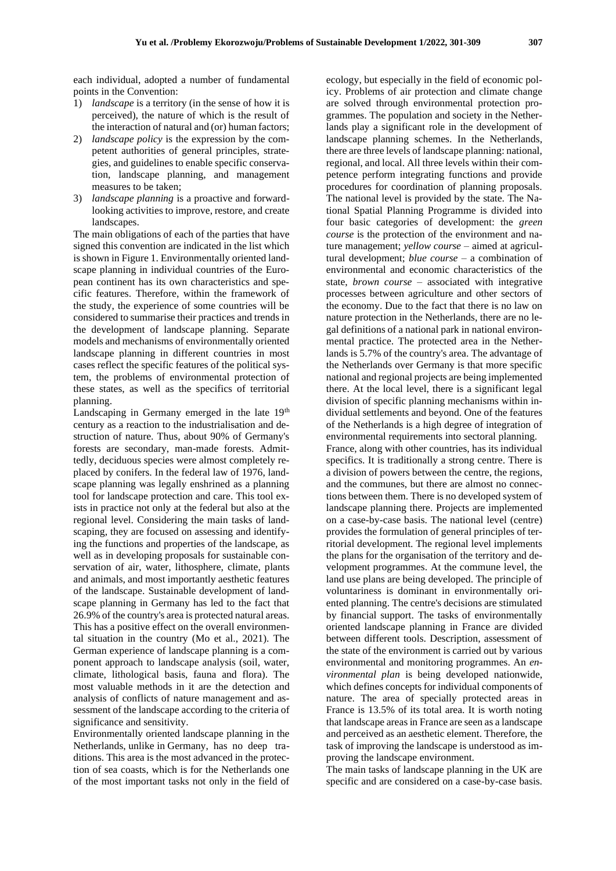each individual, adopted a number of fundamental points in the Convention:

- 1) *landscape* is a territory (in the sense of how it is perceived), the nature of which is the result of the interaction of natural and (or) human factors;
- 2) *landscape policy* is the expression by the competent authorities of general principles, strategies, and guidelines to enable specific conservation, landscape planning, and management measures to be taken;
- 3) *landscape planning* is a proactive and forwardlooking activities to improve, restore, and create landscapes.

The main obligations of each of the parties that have signed this convention are indicated in the list which is shown in Figure 1. Environmentally oriented landscape planning in individual countries of the European continent has its own characteristics and specific features. Therefore, within the framework of the study, the experience of some countries will be considered to summarise their practices and trends in the development of landscape planning. Separate models and mechanisms of environmentally oriented landscape planning in different countries in most cases reflect the specific features of the political system, the problems of environmental protection of these states, as well as the specifics of territorial planning.

Landscaping in Germany emerged in the late  $19<sup>th</sup>$ century as a reaction to the industrialisation and destruction of nature. Thus, about 90% of Germany's forests are secondary, man-made forests. Admittedly, deciduous species were almost completely replaced by conifers. In the federal law of 1976, landscape planning was legally enshrined as a planning tool for landscape protection and care. This tool exists in practice not only at the federal but also at the regional level. Considering the main tasks of landscaping, they are focused on assessing and identifying the functions and properties of the landscape, as well as in developing proposals for sustainable conservation of air, water, lithosphere, climate, plants and animals, and most importantly aesthetic features of the landscape. Sustainable development of landscape planning in Germany has led to the fact that 26.9% of the country's area is protected natural areas. This has a positive effect on the overall environmental situation in the country (Mo et al., 2021). The German experience of landscape planning is a component approach to landscape analysis (soil, water, climate, lithological basis, fauna and flora). The most valuable methods in it are the detection and analysis of conflicts of nature management and assessment of the landscape according to the criteria of significance and sensitivity.

Environmentally oriented landscape planning in the Netherlands, unlike in Germany, has no deep traditions. This area is the most advanced in the protection of sea coasts, which is for the Netherlands one of the most important tasks not only in the field of

ecology, but especially in the field of economic policy. Problems of air protection and climate change are solved through environmental protection programmes. The population and society in the Netherlands play a significant role in the development of landscape planning schemes. In the Netherlands, there are three levels of landscape planning: national, regional, and local. All three levels within their competence perform integrating functions and provide procedures for coordination of planning proposals. The national level is provided by the state. The National Spatial Planning Programme is divided into four basic categories of development: the *green course* is the protection of the environment and nature management; *yellow course* – aimed at agricultural development; *blue course* – a combination of environmental and economic characteristics of the state, *brown course* – associated with integrative processes between agriculture and other sectors of the economy. Due to the fact that there is no law on nature protection in the Netherlands, there are no legal definitions of a national park in national environmental practice. The protected area in the Netherlands is 5.7% of the country's area. The advantage of the Netherlands over Germany is that more specific national and regional projects are being implemented there. At the local level, there is a significant legal division of specific planning mechanisms within individual settlements and beyond. One of the features of the Netherlands is a high degree of integration of environmental requirements into sectoral planning. France, along with other countries, has its individual specifics. It is traditionally a strong centre. There is a division of powers between the centre, the regions, and the communes, but there are almost no connections between them. There is no developed system of landscape planning there. Projects are implemented on a case-by-case basis. The national level (centre) provides the formulation of general principles of territorial development. The regional level implements the plans for the organisation of the territory and development programmes. At the commune level, the land use plans are being developed. The principle of voluntariness is dominant in environmentally oriented planning. The centre's decisions are stimulated by financial support. The tasks of environmentally oriented landscape planning in France are divided between different tools. Description, assessment of the state of the environment is carried out by various environmental and monitoring programmes. An *environmental plan* is being developed nationwide, which defines concepts for individual components of nature. The area of specially protected areas in France is 13.5% of its total area. It is worth noting that landscape areas in France are seen as a landscape and perceived as an aesthetic element. Therefore, the task of improving the landscape is understood as improving the landscape environment.

The main tasks of landscape planning in the UK are specific and are considered on a case-by-case basis.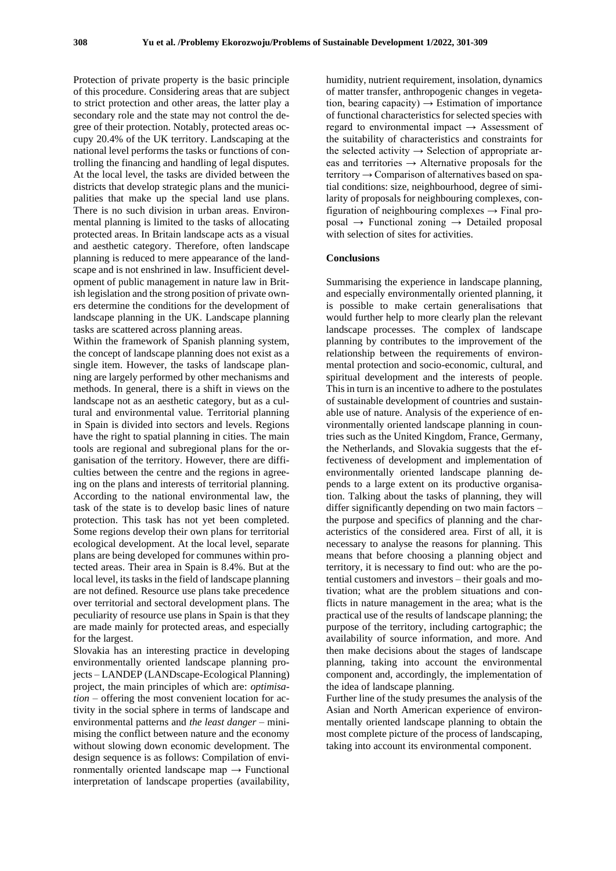Protection of private property is the basic principle of this procedure. Considering areas that are subject to strict protection and other areas, the latter play a secondary role and the state may not control the degree of their protection. Notably, protected areas occupy 20.4% of the UK territory. Landscaping at the national level performs the tasks or functions of controlling the financing and handling of legal disputes. At the local level, the tasks are divided between the districts that develop strategic plans and the municipalities that make up the special land use plans. There is no such division in urban areas. Environmental planning is limited to the tasks of allocating protected areas. In Britain landscape acts as a visual and aesthetic category. Therefore, often landscape planning is reduced to mere appearance of the landscape and is not enshrined in law. Insufficient development of public management in nature law in British legislation and the strong position of private owners determine the conditions for the development of landscape planning in the UK. Landscape planning tasks are scattered across planning areas.

Within the framework of Spanish planning system, the concept of landscape planning does not exist as a single item. However, the tasks of landscape planning are largely performed by other mechanisms and methods. In general, there is a shift in views on the landscape not as an aesthetic category, but as a cultural and environmental value. Territorial planning in Spain is divided into sectors and levels. Regions have the right to spatial planning in cities. The main tools are regional and subregional plans for the organisation of the territory. However, there are difficulties between the centre and the regions in agreeing on the plans and interests of territorial planning. According to the national environmental law, the task of the state is to develop basic lines of nature protection. This task has not yet been completed. Some regions develop their own plans for territorial ecological development. At the local level, separate plans are being developed for communes within protected areas. Their area in Spain is 8.4%. But at the local level, its tasks in the field of landscape planning are not defined. Resource use plans take precedence over territorial and sectoral development plans. The peculiarity of resource use plans in Spain is that they are made mainly for protected areas, and especially for the largest.

Slovakia has an interesting practice in developing environmentally oriented landscape planning projects – LANDEP (LANDscape-Ecological Planning) project, the main principles of which are: *optimisation* – offering the most convenient location for activity in the social sphere in terms of landscape and environmental patterns and *the least danger* – minimising the conflict between nature and the economy without slowing down economic development. The design sequence is as follows: Compilation of environmentally oriented landscape map  $\rightarrow$  Functional interpretation of landscape properties (availability,

humidity, nutrient requirement, insolation, dynamics of matter transfer, anthropogenic changes in vegetation, bearing capacity)  $\rightarrow$  Estimation of importance of functional characteristics for selected species with regard to environmental impact  $\rightarrow$  Assessment of the suitability of characteristics and constraints for the selected activity  $\rightarrow$  Selection of appropriate areas and territories  $\rightarrow$  Alternative proposals for the territory  $\rightarrow$  Comparison of alternatives based on spatial conditions: size, neighbourhood, degree of similarity of proposals for neighbouring complexes, configuration of neighbouring complexes  $\rightarrow$  Final pro $posal \rightarrow Functional \; zoning \rightarrow Detailed \; proposal$ with selection of sites for activities.

#### **Conclusions**

Summarising the experience in landscape planning, and especially environmentally oriented planning, it is possible to make certain generalisations that would further help to more clearly plan the relevant landscape processes. The complex of landscape planning by contributes to the improvement of the relationship between the requirements of environmental protection and socio-economic, cultural, and spiritual development and the interests of people. This in turn is an incentive to adhere to the postulates of sustainable development of countries and sustainable use of nature. Analysis of the experience of environmentally oriented landscape planning in countries such as the United Kingdom, France, Germany, the Netherlands, and Slovakia suggests that the effectiveness of development and implementation of environmentally oriented landscape planning depends to a large extent on its productive organisation. Talking about the tasks of planning, they will differ significantly depending on two main factors – the purpose and specifics of planning and the characteristics of the considered area. First of all, it is necessary to analyse the reasons for planning. This means that before choosing a planning object and territory, it is necessary to find out: who are the potential customers and investors – their goals and motivation; what are the problem situations and conflicts in nature management in the area; what is the practical use of the results of landscape planning; the purpose of the territory, including cartographic; the availability of source information, and more. And then make decisions about the stages of landscape planning, taking into account the environmental component and, accordingly, the implementation of the idea of landscape planning.

Further line of the study presumes the analysis of the Asian and North American experience of environmentally oriented landscape planning to obtain the most complete picture of the process of landscaping, taking into account its environmental component.